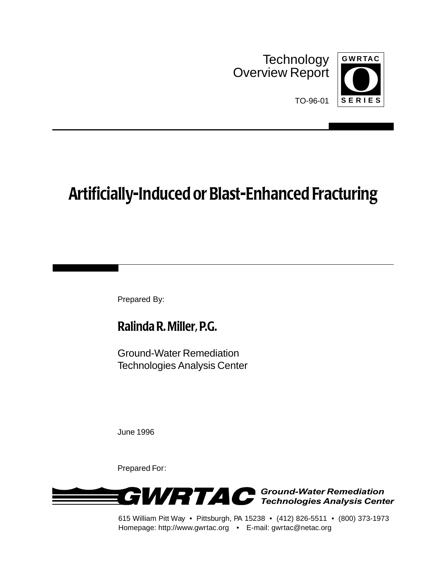**Technology** Overview Report



TO-96-01

# **Artificially-Induced or Blast-Enhanced Fracturing**

Prepared By:

# **Ralinda R. Miller, P.G.**

Ground-Water Remediation Technologies Analysis Center

June 1996

Prepared For:



615 William Pitt Way • Pittsburgh, PA 15238 • (412) 826-5511 • (800) 373-1973 Homepage: http://www.gwrtac.org • E-mail: gwrtac@netac.org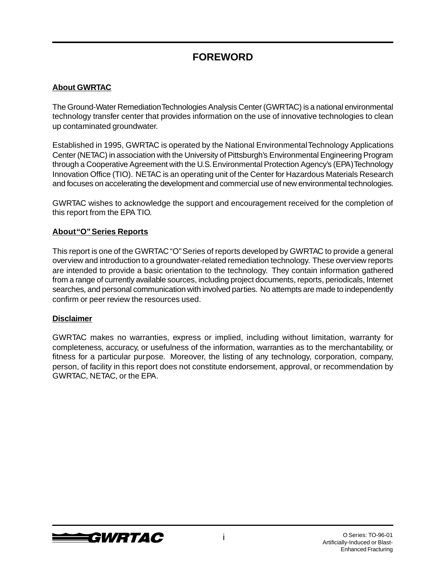# **FOREWORD**

#### **About GWRTAC**

The Ground-Water Remediation Technologies Analysis Center (GWRTAC) is a national environmental technology transfer center that provides information on the use of innovative technologies to clean up contaminated groundwater.

Established in 1995, GWRTAC is operated by the National Environmental Technology Applications Center (NETAC) in association with the University of Pittsburgh's Environmental Engineering Program through a Cooperative Agreement with the U.S. Environmental Protection Agency's (EPA) Technology Innovation Office (TIO). NETAC is an operating unit of the Center for Hazardous Materials Research and focuses on accelerating the development and commercial use of new environmental technologies.

GWRTAC wishes to acknowledge the support and encouragement received for the completion of this report from the EPA TIO.

#### **About "O" Series Reports**

This report is one of the GWRTAC "O" Series of reports developed by GWRTAC to provide a general overview and introduction to a groundwater-related remediation technology. These overview reports are intended to provide a basic orientation to the technology. They contain information gathered from a range of currently available sources, including project documents, reports, periodicals, Internet searches, and personal communication with involved parties. No attempts are made to independently confirm or peer review the resources used.

#### **Disclaimer**

GWRTAC makes no warranties, express or implied, including without limitation, warranty for completeness, accuracy, or usefulness of the information, warranties as to the merchantability, or fitness for a particular purpose. Moreover, the listing of any technology, corporation, company, person, of facility in this report does not constitute endorsement, approval, or recommendation by GWRTAC, NETAC, or the EPA.

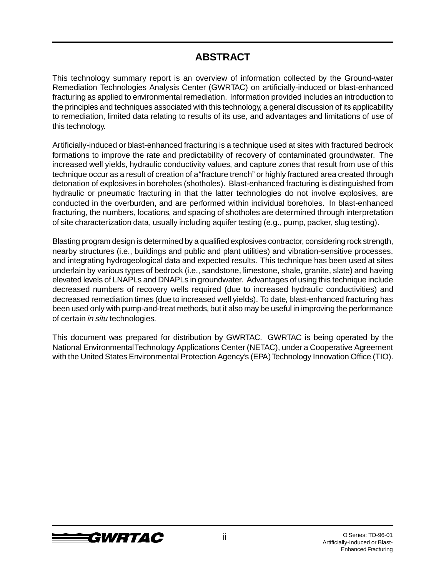## **ABSTRACT**

This technology summary report is an overview of information collected by the Ground-water Remediation Technologies Analysis Center (GWRTAC) on artificially-induced or blast-enhanced fracturing as applied to environmental remediation. Information provided includes an introduction to the principles and techniques associated with this technology, a general discussion of its applicability to remediation, limited data relating to results of its use, and advantages and limitations of use of this technology.

Artificially-induced or blast-enhanced fracturing is a technique used at sites with fractured bedrock formations to improve the rate and predictability of recovery of contaminated groundwater. The increased well yields, hydraulic conductivity values, and capture zones that result from use of this technique occur as a result of creation of a "fracture trench" or highly fractured area created through detonation of explosives in boreholes (shotholes). Blast-enhanced fracturing is distinguished from hydraulic or pneumatic fracturing in that the latter technologies do not involve explosives, are conducted in the overburden, and are performed within individual boreholes. In blast-enhanced fracturing, the numbers, locations, and spacing of shotholes are determined through interpretation of site characterization data, usually including aquifer testing (e.g., pump, packer, slug testing).

Blasting program design is determined by a qualified explosives contractor, considering rock strength, nearby structures (i.e., buildings and public and plant utilities) and vibration-sensitive processes, and integrating hydrogeological data and expected results. This technique has been used at sites underlain by various types of bedrock (i.e., sandstone, limestone, shale, granite, slate) and having elevated levels of LNAPLs and DNAPLs in groundwater. Advantages of using this technique include decreased numbers of recovery wells required (due to increased hydraulic conductivities) and decreased remediation times (due to increased well yields). To date, blast-enhanced fracturing has been used only with pump-and-treat methods, but it also may be useful in improving the performance of certain in situ technologies.

This document was prepared for distribution by GWRTAC. GWRTAC is being operated by the National Environmental Technology Applications Center (NETAC), under a Cooperative Agreement with the United States Environmental Protection Agency's (EPA) Technology Innovation Office (TIO).

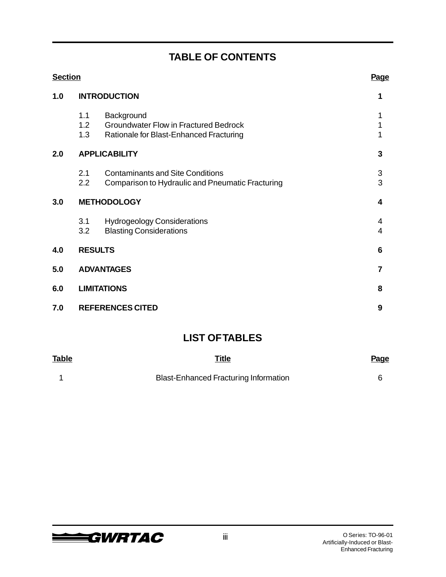# **TABLE OF CONTENTS**

| <b>Section</b> | Page                    |                                                                                                       |                                |  |
|----------------|-------------------------|-------------------------------------------------------------------------------------------------------|--------------------------------|--|
| 1.0            | <b>INTRODUCTION</b>     | 1                                                                                                     |                                |  |
|                | 1.1<br>1.2<br>1.3       | Background<br><b>Groundwater Flow in Fractured Bedrock</b><br>Rationale for Blast-Enhanced Fracturing | 1<br>1                         |  |
| 2.0            | <b>APPLICABILITY</b>    |                                                                                                       |                                |  |
|                | 2.1<br>2.2              | <b>Contaminants and Site Conditions</b><br>Comparison to Hydraulic and Pneumatic Fracturing           | $\ensuremath{\mathsf{3}}$<br>3 |  |
| 3.0            | <b>METHODOLOGY</b>      |                                                                                                       |                                |  |
|                | 3.1<br>3.2              | <b>Hydrogeology Considerations</b><br><b>Blasting Considerations</b>                                  | 4<br>4                         |  |
| 4.0            |                         | <b>RESULTS</b>                                                                                        | 6                              |  |
| 5.0            | <b>ADVANTAGES</b>       | 7                                                                                                     |                                |  |
| 6.0            | <b>LIMITATIONS</b>      | 8                                                                                                     |                                |  |
| 7.0            | <b>REFERENCES CITED</b> |                                                                                                       |                                |  |
|                |                         |                                                                                                       |                                |  |

### **LIST OF TABLES**

| Table | <b>Title</b>                          | <b>Page</b> |
|-------|---------------------------------------|-------------|
|       | Blast-Enhanced Fracturing Information |             |

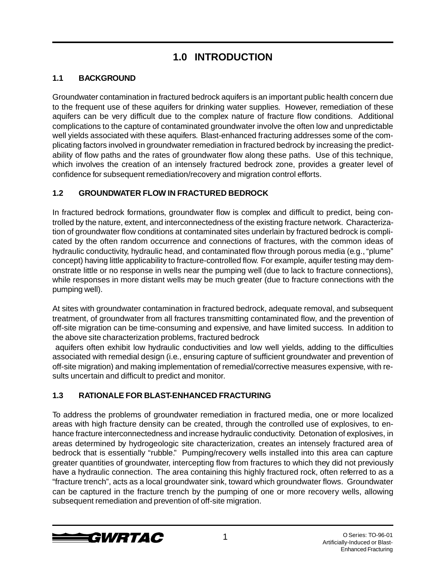# **1.0 INTRODUCTION**

### **1.1 BACKGROUND**

Groundwater contamination in fractured bedrock aquifers is an important public health concern due to the frequent use of these aquifers for drinking water supplies. However, remediation of these aquifers can be very difficult due to the complex nature of fracture flow conditions. Additional complications to the capture of contaminated groundwater involve the often low and unpredictable well yields associated with these aquifers. Blast-enhanced fracturing addresses some of the complicating factors involved in groundwater remediation in fractured bedrock by increasing the predictability of flow paths and the rates of groundwater flow along these paths. Use of this technique, which involves the creation of an intensely fractured bedrock zone, provides a greater level of confidence for subsequent remediation/recovery and migration control efforts.

### **1.2 GROUNDWATER FLOW IN FRACTURED BEDROCK**

In fractured bedrock formations, groundwater flow is complex and difficult to predict, being controlled by the nature, extent, and interconnectedness of the existing fracture network. Characterization of groundwater flow conditions at contaminated sites underlain by fractured bedrock is complicated by the often random occurrence and connections of fractures, with the common ideas of hydraulic conductivity, hydraulic head, and contaminated flow through porous media (e.g., "plume" concept) having little applicability to fracture-controlled flow. For example, aquifer testing may demonstrate little or no response in wells near the pumping well (due to lack to fracture connections), while responses in more distant wells may be much greater (due to fracture connections with the pumping well).

At sites with groundwater contamination in fractured bedrock, adequate removal, and subsequent treatment, of groundwater from all fractures transmitting contaminated flow, and the prevention of off-site migration can be time-consuming and expensive, and have limited success. In addition to the above site characterization problems, fractured bedrock

 aquifers often exhibit low hydraulic conductivities and low well yields, adding to the difficulties associated with remedial design (i.e., ensuring capture of sufficient groundwater and prevention of off-site migration) and making implementation of remedial/corrective measures expensive, with results uncertain and difficult to predict and monitor.

### **1.3 RATIONALE FOR BLAST-ENHANCED FRACTURING**

To address the problems of groundwater remediation in fractured media, one or more localized areas with high fracture density can be created, through the controlled use of explosives, to enhance fracture interconnectedness and increase hydraulic conductivity. Detonation of explosives, in areas determined by hydrogeologic site characterization, creates an intensely fractured area of bedrock that is essentially "rubble." Pumping/recovery wells installed into this area can capture greater quantities of groundwater, intercepting flow from fractures to which they did not previously have a hydraulic connection. The area containing this highly fractured rock, often referred to as a "fracture trench", acts as a local groundwater sink, toward which groundwater flows. Groundwater can be captured in the fracture trench by the pumping of one or more recovery wells, allowing subsequent remediation and prevention of off-site migration.

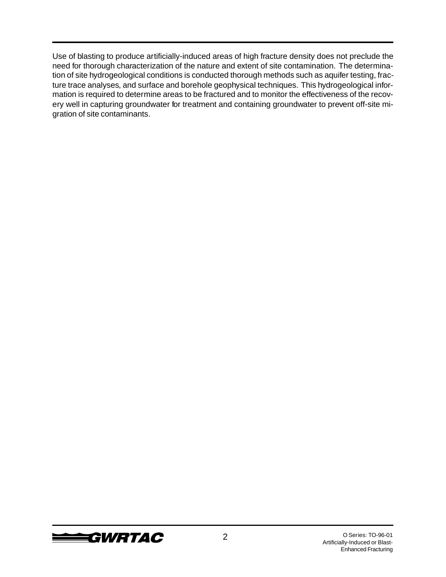Use of blasting to produce artificially-induced areas of high fracture density does not preclude the need for thorough characterization of the nature and extent of site contamination. The determination of site hydrogeological conditions is conducted thorough methods such as aquifer testing, fracture trace analyses, and surface and borehole geophysical techniques. This hydrogeological information is required to determine areas to be fractured and to monitor the effectiveness of the recovery well in capturing groundwater for treatment and containing groundwater to prevent off-site migration of site contaminants.

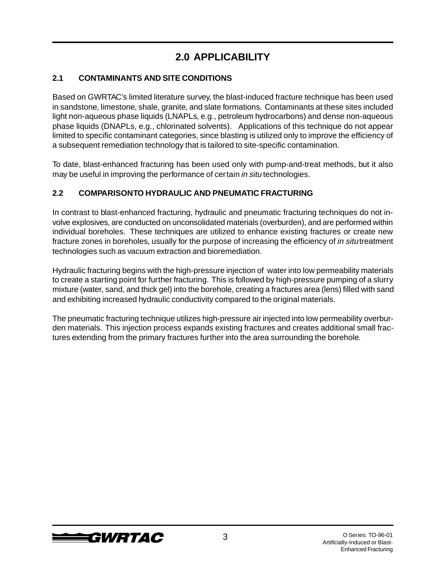# **2.0 APPLICABILITY**

### **2.1 CONTAMINANTS AND SITE CONDITIONS**

Based on GWRTAC's limited literature survey, the blast-induced fracture technique has been used in sandstone, limestone, shale, granite, and slate formations. Contaminants at these sites included light non-aqueous phase liquids (LNAPLs, e.g., petroleum hydrocarbons) and dense non-aqueous phase liquids (DNAPLs, e.g., chlorinated solvents). Applications of this technique do not appear limited to specific contaminant categories, since blasting is utilized only to improve the efficiency of a subsequent remediation technology that is tailored to site-specific contamination.

To date, blast-enhanced fracturing has been used only with pump-and-treat methods, but it also may be useful in improving the performance of certain in situ technologies.

### **2.2 COMPARISON TO HYDRAULIC AND PNEUMATIC FRACTURING**

In contrast to blast-enhanced fracturing, hydraulic and pneumatic fracturing techniques do not involve explosives, are conducted on unconsolidated materials (overburden), and are performed within individual boreholes. These techniques are utilized to enhance existing fractures or create new fracture zones in boreholes, usually for the purpose of increasing the efficiency of in situ treatment technologies such as vacuum extraction and bioremediation.

Hydraulic fracturing begins with the high-pressure injection of water into low permeability materials to create a starting point for further fracturing. This is followed by high-pressure pumping of a slurry mixture (water, sand, and thick gel) into the borehole, creating a fractures area (lens) filled with sand and exhibiting increased hydraulic conductivity compared to the original materials.

The pneumatic fracturing technique utilizes high-pressure air injected into low permeability overburden materials. This injection process expands existing fractures and creates additional small fractures extending from the primary fractures further into the area surrounding the borehole.

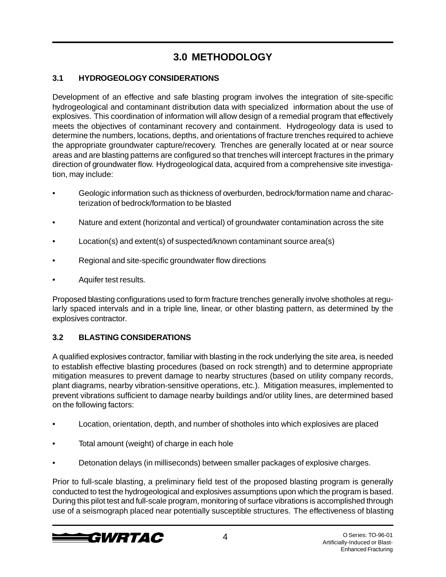# **3.0 METHODOLOGY**

### **3.1 HYDROGEOLOGY CONSIDERATIONS**

Development of an effective and safe blasting program involves the integration of site-specific hydrogeological and contaminant distribution data with specialized information about the use of explosives. This coordination of information will allow design of a remedial program that effectively meets the objectives of contaminant recovery and containment. Hydrogeology data is used to determine the numbers, locations, depths, and orientations of fracture trenches required to achieve the appropriate groundwater capture/recovery. Trenches are generally located at or near source areas and are blasting patterns are configured so that trenches will intercept fractures in the primary direction of groundwater flow. Hydrogeological data, acquired from a comprehensive site investigation, may include:

- Geologic information such as thickness of overburden, bedrock/formation name and characterization of bedrock/formation to be blasted
- Nature and extent (horizontal and vertical) of groundwater contamination across the site
- Location(s) and extent(s) of suspected/known contaminant source area(s)
- Regional and site-specific groundwater flow directions
- Aquifer test results.

Proposed blasting configurations used to form fracture trenches generally involve shotholes at regularly spaced intervals and in a triple line, linear, or other blasting pattern, as determined by the explosives contractor.

### **3.2 BLASTING CONSIDERATIONS**

A qualified explosives contractor, familiar with blasting in the rock underlying the site area, is needed to establish effective blasting procedures (based on rock strength) and to determine appropriate mitigation measures to prevent damage to nearby structures (based on utility company records, plant diagrams, nearby vibration-sensitive operations, etc.). Mitigation measures, implemented to prevent vibrations sufficient to damage nearby buildings and/or utility lines, are determined based on the following factors:

- Location, orientation, depth, and number of shotholes into which explosives are placed
- Total amount (weight) of charge in each hole
- Detonation delays (in milliseconds) between smaller packages of explosive charges.

Prior to full-scale blasting, a preliminary field test of the proposed blasting program is generally conducted to test the hydrogeological and explosives assumptions upon which the program is based. During this pilot test and full-scale program, monitoring of surface vibrations is accomplished through use of a seismograph placed near potentially susceptible structures. The effectiveness of blasting

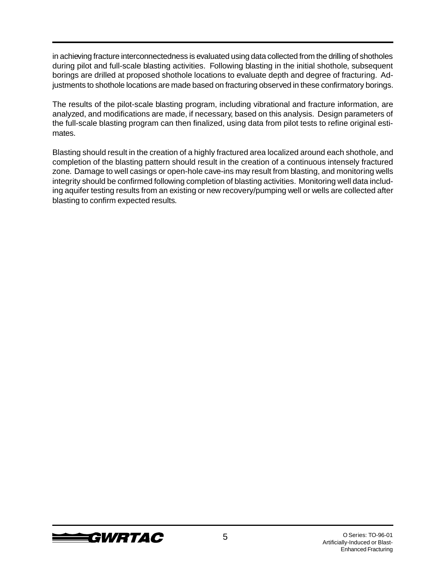in achieving fracture interconnectedness is evaluated using data collected from the drilling of shotholes during pilot and full-scale blasting activities. Following blasting in the initial shothole, subsequent borings are drilled at proposed shothole locations to evaluate depth and degree of fracturing. Adjustments to shothole locations are made based on fracturing observed in these confirmatory borings.

The results of the pilot-scale blasting program, including vibrational and fracture information, are analyzed, and modifications are made, if necessary, based on this analysis. Design parameters of the full-scale blasting program can then finalized, using data from pilot tests to refine original estimates.

Blasting should result in the creation of a highly fractured area localized around each shothole, and completion of the blasting pattern should result in the creation of a continuous intensely fractured zone. Damage to well casings or open-hole cave-ins may result from blasting, and monitoring wells integrity should be confirmed following completion of blasting activities. Monitoring well data including aquifer testing results from an existing or new recovery/pumping well or wells are collected after blasting to confirm expected results.

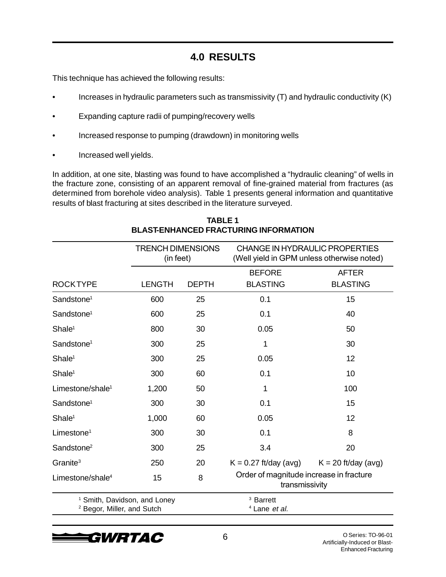### **4.0 RESULTS**

This technique has achieved the following results:

- Increases in hydraulic parameters such as transmissivity (T) and hydraulic conductivity (K)
- Expanding capture radii of pumping/recovery wells
- Increased response to pumping (drawdown) in monitoring wells
- Increased well yields.

In addition, at one site, blasting was found to have accomplished a "hydraulic cleaning" of wells in the fracture zone, consisting of an apparent removal of fine-grained material from fractures (as determined from borehole video analysis). Table 1 presents general information and quantitative results of blast fracturing at sites described in the literature surveyed.

|                                       | <b>TRENCH DIMENSIONS</b><br>(in feet)   |              | CHANGE IN HYDRAULIC PROPERTIES<br>(Well yield in GPM unless otherwise noted) |                                 |
|---------------------------------------|-----------------------------------------|--------------|------------------------------------------------------------------------------|---------------------------------|
| <b>ROCKTYPE</b>                       | <b>LENGTH</b>                           | <b>DEPTH</b> | <b>BEFORE</b><br><b>BLASTING</b>                                             | <b>AFTER</b><br><b>BLASTING</b> |
| Sandstone <sup>1</sup>                | 600                                     | 25           | 0.1                                                                          | 15                              |
| Sandstone <sup>1</sup>                | 600                                     | 25           | 0.1                                                                          | 40                              |
| Shale <sup>1</sup>                    | 800                                     | 30           | 0.05                                                                         | 50                              |
| Sandstone <sup>1</sup>                | 300                                     | 25           | 1                                                                            | 30                              |
| Shale <sup>1</sup>                    | 300                                     | 25           | 0.05                                                                         | 12                              |
| Shale <sup>1</sup>                    | 300                                     | 60           | 0.1                                                                          | 10                              |
| Limestone/shale <sup>1</sup>          | 1,200                                   | 50           | 1                                                                            | 100                             |
| Sandstone <sup>1</sup>                | 300                                     | 30           | 0.1                                                                          | 15                              |
| Shale <sup>1</sup>                    | 1,000                                   | 60           | 0.05                                                                         | 12                              |
| Limestone <sup>1</sup>                | 300                                     | 30           | 0.1                                                                          | 8                               |
| Sandstone <sup>2</sup>                | 300                                     | 25           | 3.4                                                                          | 20                              |
| Granite <sup>3</sup>                  | 250                                     | 20           | $K = 0.27$ ft/day (avg)                                                      | $K = 20$ ft/day (avg)           |
| Limestone/shale $4$                   | 15                                      | 8            | Order of magnitude increase in fracture<br>transmissivity                    |                                 |
| <sup>2</sup> Begor, Miller, and Sutch | <sup>1</sup> Smith, Davidson, and Loney |              | <sup>3</sup> Barrett<br><sup>4</sup> Lane et al.                             |                                 |

#### **TABLE 1 BLAST-ENHANCED FRACTURING INFORMATION**

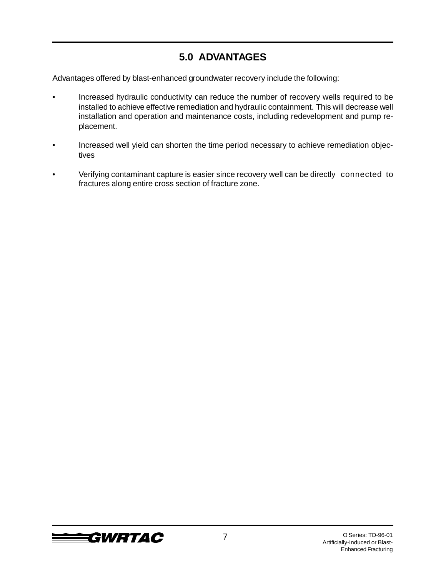### **5.0 ADVANTAGES**

Advantages offered by blast-enhanced groundwater recovery include the following:

- Increased hydraulic conductivity can reduce the number of recovery wells required to be installed to achieve effective remediation and hydraulic containment. This will decrease well installation and operation and maintenance costs, including redevelopment and pump replacement.
- Increased well yield can shorten the time period necessary to achieve remediation objectives
- Verifying contaminant capture is easier since recovery well can be directly connected to fractures along entire cross section of fracture zone.

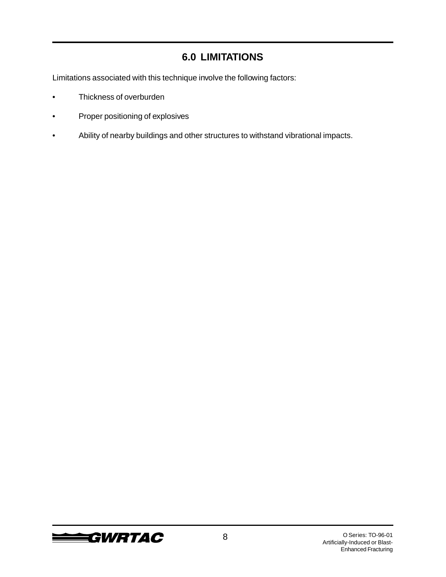### **6.0 LIMITATIONS**

Limitations associated with this technique involve the following factors:

- Thickness of overburden
- Proper positioning of explosives
- Ability of nearby buildings and other structures to withstand vibrational impacts.